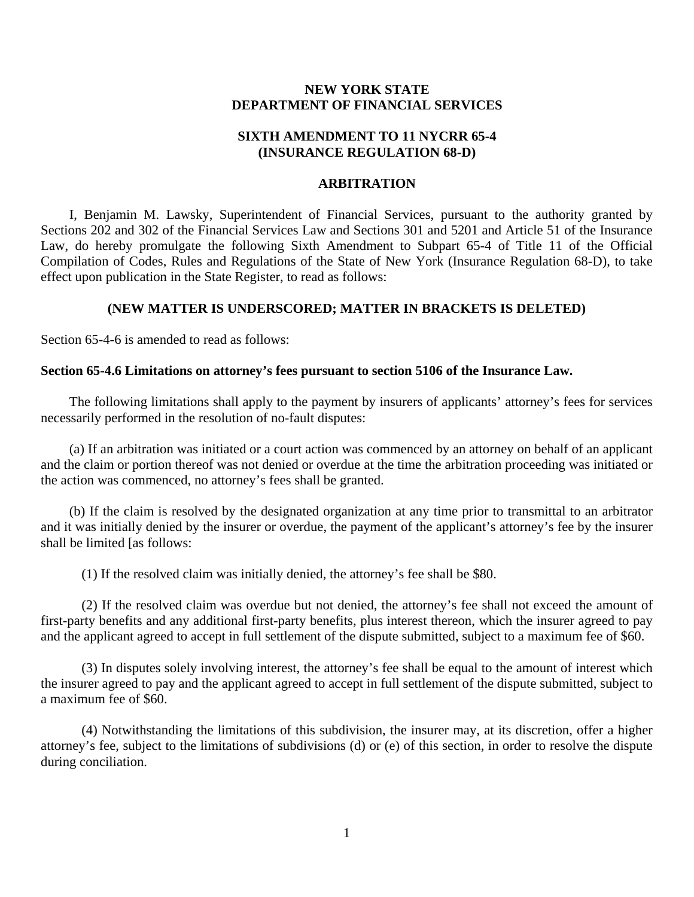## **NEW YORK STATE DEPARTMENT OF FINANCIAL SERVICES**

## **SIXTH AMENDMENT TO 11 NYCRR 65-4 (INSURANCE REGULATION 68-D)**

#### **ARBITRATION**

I, Benjamin M. Lawsky, Superintendent of Financial Services, pursuant to the authority granted by Sections 202 and 302 of the Financial Services Law and Sections 301 and 5201 and Article 51 of the Insurance Law, do hereby promulgate the following Sixth Amendment to Subpart 65-4 of Title 11 of the Official Compilation of Codes, Rules and Regulations of the State of New York (Insurance Regulation 68-D), to take effect upon publication in the State Register, to read as follows:

### **(NEW MATTER IS UNDERSCORED; MATTER IN BRACKETS IS DELETED)**

Section 65-4-6 is amended to read as follows:

### **Section 65-4.6 Limitations on attorney's fees pursuant to section 5106 of the Insurance Law.**

The following limitations shall apply to the payment by insurers of applicants' attorney's fees for services necessarily performed in the resolution of no-fault disputes:

(a) If an arbitration was initiated or a court action was commenced by an attorney on behalf of an applicant and the claim or portion thereof was not denied or overdue at the time the arbitration proceeding was initiated or the action was commenced, no attorney's fees shall be granted.

(b) If the claim is resolved by the designated organization at any time prior to transmittal to an arbitrator and it was initially denied by the insurer or overdue, the payment of the applicant's attorney's fee by the insurer shall be limited [as follows:

(1) If the resolved claim was initially denied, the attorney's fee shall be \$80.

(2) If the resolved claim was overdue but not denied, the attorney's fee shall not exceed the amount of first-party benefits and any additional first-party benefits, plus interest thereon, which the insurer agreed to pay and the applicant agreed to accept in full settlement of the dispute submitted, subject to a maximum fee of \$60.

(3) In disputes solely involving interest, the attorney's fee shall be equal to the amount of interest which the insurer agreed to pay and the applicant agreed to accept in full settlement of the dispute submitted, subject to a maximum fee of \$60.

(4) Notwithstanding the limitations of this subdivision, the insurer may, at its discretion, offer a higher attorney's fee, subject to the limitations of subdivisions (d) or (e) of this section, in order to resolve the dispute during conciliation.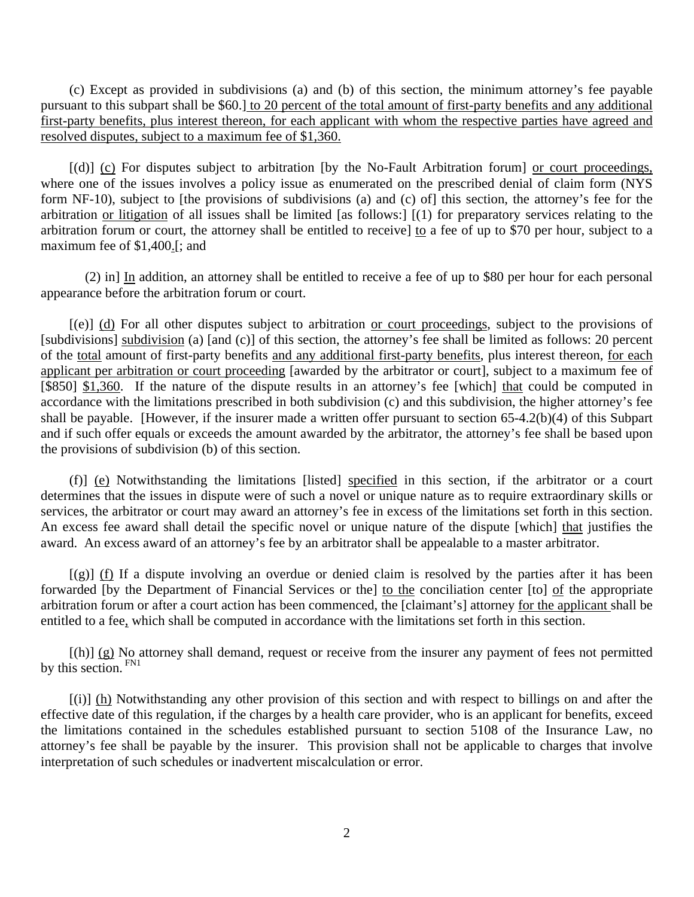(c) Except as provided in subdivisions (a) and (b) of this section, the minimum attorney's fee payable pursuant to this subpart shall be \$60.] to 20 percent of the total amount of first-party benefits and any additional first-party benefits, plus interest thereon, for each applicant with whom the respective parties have agreed and resolved disputes, subject to a maximum fee of \$1,360.

[(d)] (c) For disputes subject to arbitration [by the No-Fault Arbitration forum] or court proceedings, where one of the issues involves a policy issue as enumerated on the prescribed denial of claim form (NYS form NF-10), subject to [the provisions of subdivisions (a) and (c) of] this section, the attorney's fee for the arbitration or litigation of all issues shall be limited [as follows:] [(1) for preparatory services relating to the arbitration forum or court, the attorney shall be entitled to receive] to a fee of up to \$70 per hour, subject to a maximum fee of \$1,400.[; and

(2) in] In addition, an attorney shall be entitled to receive a fee of up to \$80 per hour for each personal appearance before the arbitration forum or court.

[(e)] (d) For all other disputes subject to arbitration or court proceedings, subject to the provisions of [subdivisions] subdivision (a) [and (c)] of this section, the attorney's fee shall be limited as follows: 20 percent of the total amount of first-party benefits and any additional first-party benefits, plus interest thereon, for each applicant per arbitration or court proceeding [awarded by the arbitrator or court], subject to a maximum fee of [\$850] \$1,360. If the nature of the dispute results in an attorney's fee [which] that could be computed in accordance with the limitations prescribed in both subdivision (c) and this subdivision, the higher attorney's fee shall be payable. [However, if the insurer made a written offer pursuant to section 65-4.2(b)(4) of this Subpart and if such offer equals or exceeds the amount awarded by the arbitrator, the attorney's fee shall be based upon the provisions of subdivision (b) of this section.

(f)] (e) Notwithstanding the limitations [listed] specified in this section, if the arbitrator or a court determines that the issues in dispute were of such a novel or unique nature as to require extraordinary skills or services, the arbitrator or court may award an attorney's fee in excess of the limitations set forth in this section. An excess fee award shall detail the specific novel or unique nature of the dispute [which] that justifies the award. An excess award of an attorney's fee by an arbitrator shall be appealable to a master arbitrator.

 $[(g)]$  (f) If a dispute involving an overdue or denied claim is resolved by the parties after it has been forwarded [by the Department of Financial Services or the] to the conciliation center [to] of the appropriate arbitration forum or after a court action has been commenced, the [claimant's] attorney for the applicant shall be entitled to a fee, which shall be computed in accordance with the limitations set forth in this section.

 $[(h)] (g)$  No attorney shall demand, request or receive from the insurer any payment of fees not permitted by this section.  $FNI$ 

[(i)] (h) Notwithstanding any other provision of this section and with respect to billings on and after the effective date of this regulation, if the charges by a health care provider, who is an applicant for benefits, exceed the limitations contained in the schedules established pursuant to section 5108 of the Insurance Law, no attorney's fee shall be payable by the insurer. This provision shall not be applicable to charges that involve interpretation of such schedules or inadvertent miscalculation or error.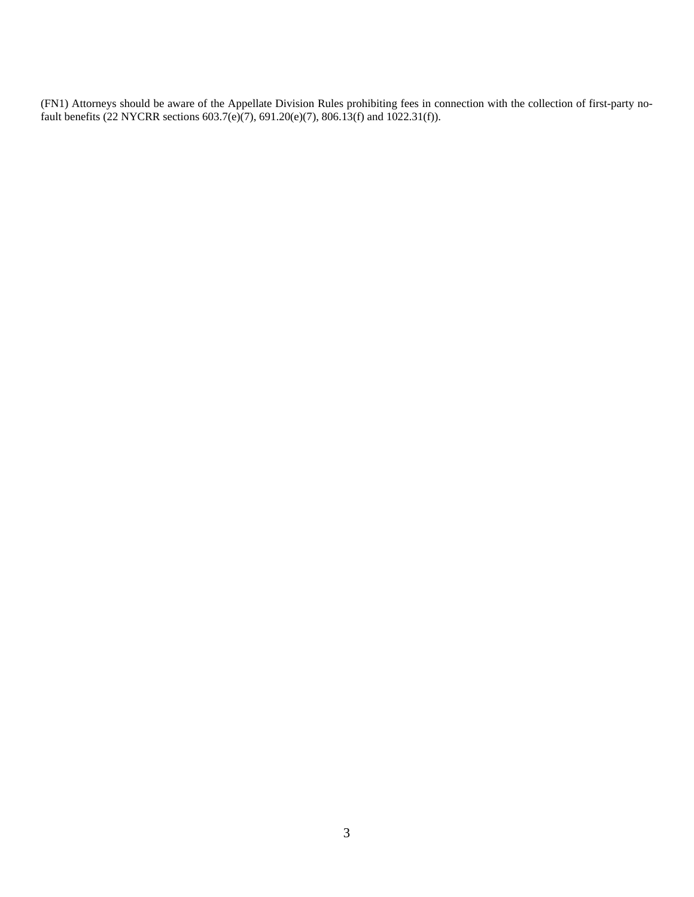(FN1) Attorneys should be aware of the Appellate Division Rules prohibiting fees in connection with the collection of first-party nofault benefits (22 NYCRR sections 603.7(e)(7), 691.20(e)(7), 806.13(f) and 1022.31(f)).